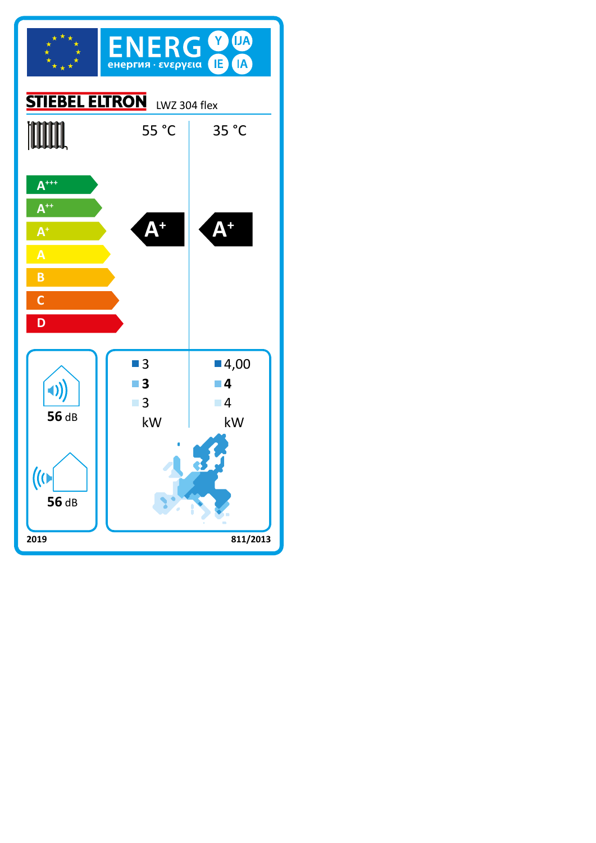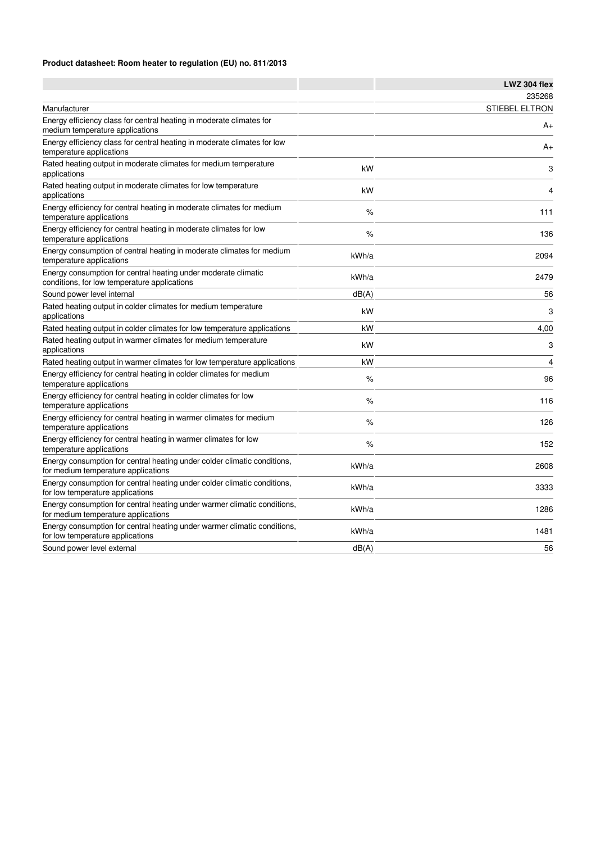## **Product datasheet: Room heater to regulation (EU) no. 811/2013**

|                                                                                                                 |       | LWZ 304 flex          |
|-----------------------------------------------------------------------------------------------------------------|-------|-----------------------|
|                                                                                                                 |       | 235268                |
| Manufacturer                                                                                                    |       | <b>STIEBEL ELTRON</b> |
| Energy efficiency class for central heating in moderate climates for<br>medium temperature applications         |       | A+                    |
| Energy efficiency class for central heating in moderate climates for low<br>temperature applications            |       | $A+$                  |
| Rated heating output in moderate climates for medium temperature<br>applications                                | kW    | 3                     |
| Rated heating output in moderate climates for low temperature<br>applications                                   | kW    | $\overline{4}$        |
| Energy efficiency for central heating in moderate climates for medium<br>temperature applications               | $\%$  | 111                   |
| Energy efficiency for central heating in moderate climates for low<br>temperature applications                  | %     | 136                   |
| Energy consumption of central heating in moderate climates for medium<br>temperature applications               | kWh/a | 2094                  |
| Energy consumption for central heating under moderate climatic<br>conditions, for low temperature applications  | kWh/a | 2479                  |
| Sound power level internal                                                                                      | dB(A) | 56                    |
| Rated heating output in colder climates for medium temperature<br>applications                                  | kW    | 3                     |
| Rated heating output in colder climates for low temperature applications                                        | kW    | 4,00                  |
| Rated heating output in warmer climates for medium temperature<br>applications                                  | kW    | 3                     |
| Rated heating output in warmer climates for low temperature applications                                        | kW    | $\overline{4}$        |
| Energy efficiency for central heating in colder climates for medium<br>temperature applications                 | %     | 96                    |
| Energy efficiency for central heating in colder climates for low<br>temperature applications                    | %     | 116                   |
| Energy efficiency for central heating in warmer climates for medium<br>temperature applications                 | $\%$  | 126                   |
| Energy efficiency for central heating in warmer climates for low<br>temperature applications                    | %     | 152                   |
| Energy consumption for central heating under colder climatic conditions,<br>for medium temperature applications | kWh/a | 2608                  |
| Energy consumption for central heating under colder climatic conditions,<br>for low temperature applications    | kWh/a | 3333                  |
| Energy consumption for central heating under warmer climatic conditions,<br>for medium temperature applications | kWh/a | 1286                  |
| Energy consumption for central heating under warmer climatic conditions,<br>for low temperature applications    | kWh/a | 1481                  |
| Sound power level external                                                                                      | dB(A) | 56                    |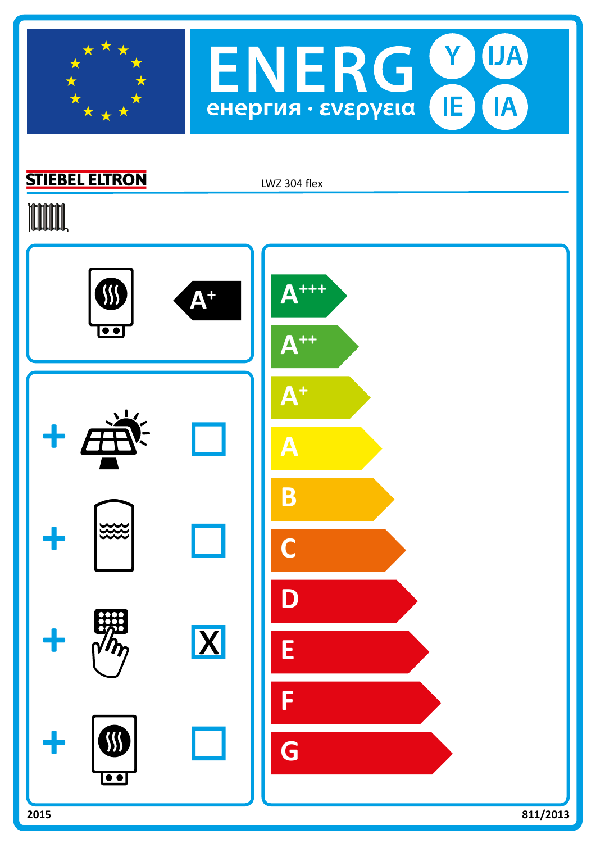



## **STIEBEL ELTRON**

LWZ 304 flex

## **TITULI,**

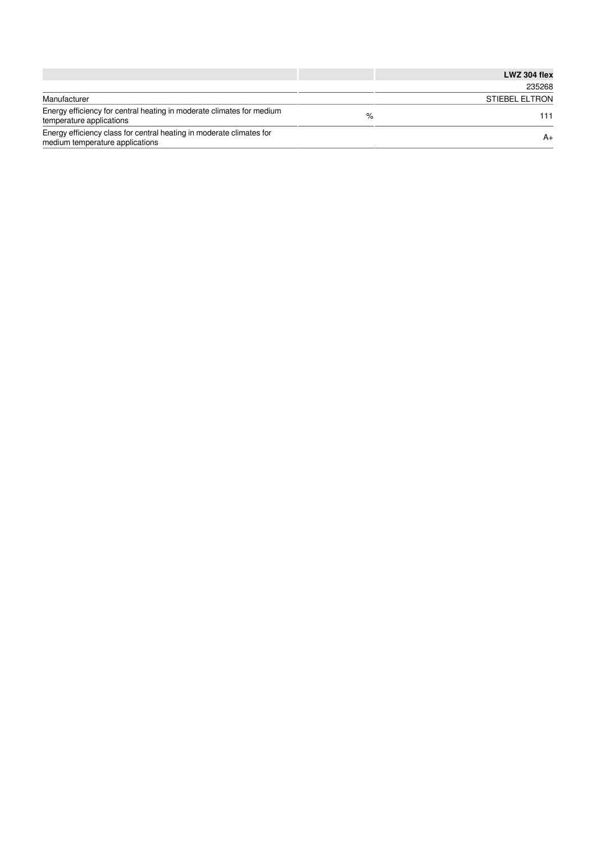|                                                                                                         |   | LWZ 304 flex          |
|---------------------------------------------------------------------------------------------------------|---|-----------------------|
|                                                                                                         |   | 235268                |
| Manufacturer                                                                                            |   | <b>STIEBEL ELTRON</b> |
| Energy efficiency for central heating in moderate climates for medium<br>temperature applications       | % | 111                   |
| Energy efficiency class for central heating in moderate climates for<br>medium temperature applications |   | $A+$                  |